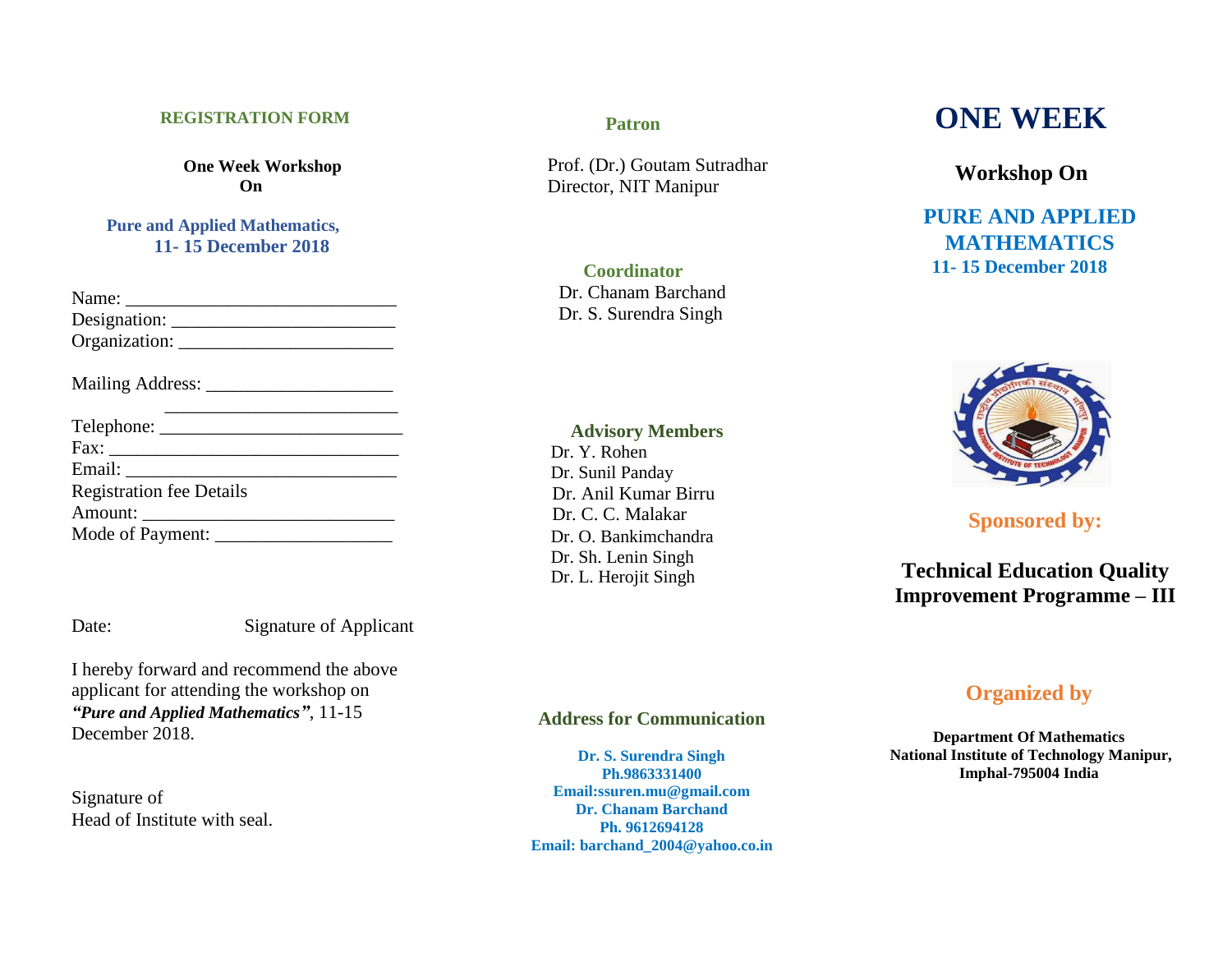#### **REGISTRATION FORM**

**One Week Workshop On**

### **Pure and Applied Mathematics, 11- 15 December 2018**

| <b>Registration fee Details</b> |
|---------------------------------|
|                                 |
|                                 |

Date: Signature of Applicant

I hereby forward and recommend the above applicant for attending the workshop on *"Pure and Applied Mathematics"*, 11-15 December 2018.

Signature of Head of Institute with seal.

#### **Patron**

Prof. (Dr.) Goutam Sutradhar Director, NIT Manipur

**Coordinator** Dr. Chanam Barchand Dr. S. Surendra Singh

#### **Advisory Members**

 Dr. Y. Rohen Dr. Sunil Panday Dr. Anil Kumar Birru Dr. C. C. Malakar Dr. O. Bankimchandra Dr. Sh. Lenin Singh Dr. L. Herojit Singh

**Address for Communication**

**Dr. S. Surendra Singh Ph.9863331400 Email:ssuren.mu@gmail.com Dr. Chanam Barchand Ph. 9612694128 Email: barchand\_2004@yahoo.co.in**

# **ONE WEEK**

**Workshop On**

**PURE AND APPLIED MATHEMATICS 11- 15 December 2018**



# **Sponsored by:**

# **Technical Education Quality Improvement Programme – III**

# **Organized by**

**Department Of Mathematics National Institute of Technology Manipur, Imphal-795004 India**